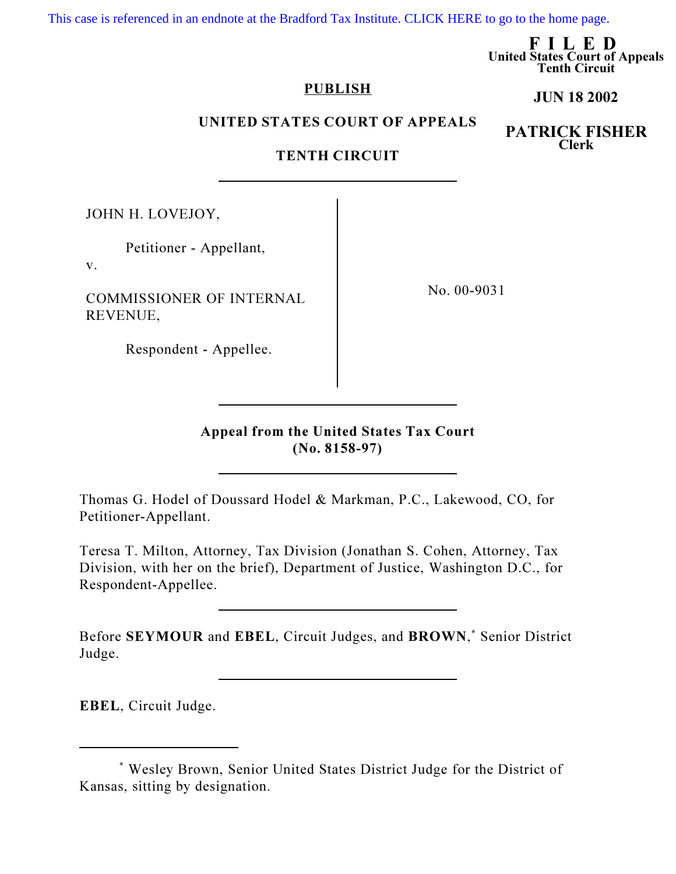[This case is referenced in an endnote at the Bradford Tax Institute. CLICK HERE to go to the home page.](http://www.bradfordtaxinstitute.com/)

FILED United States Court of Appeals Tenth Circuit

JUN 18 2002

## PUBLISH

## UNITED STATES COURT OF APPEALS

PATRICK FISHER Clerk

## TENTH CIRCUIT

JOHN H. LOVEJOY,

Petitioner - Appellant,

v.

COMMISSIONER OF INTERNAL REVENUE,

No. 00-9031

Respondent - Appellee.

Appeal from the United States Tax Court (No. 8158-97)

Thomas G. Hodel of Doussard Hodel & Markman, P.C., Lakewood, CO, for Petitioner-Appellant.

Teresa T. Milton, Attorney, Tax Division (Jonathan S. Cohen, Attorney, Tax Division, with her on the brief), Department of Justice, Washington D.C., for Respondent-Appellee.

Before SEYMOUR and EBEL, Circuit Judges, and BROWN,<sup>\*</sup> Senior District Judge.

EBEL, Circuit Judge.

<sup>\*</sup> Wesley Brown, Senior United States District Judge for the District of Kansas, sitting by designation.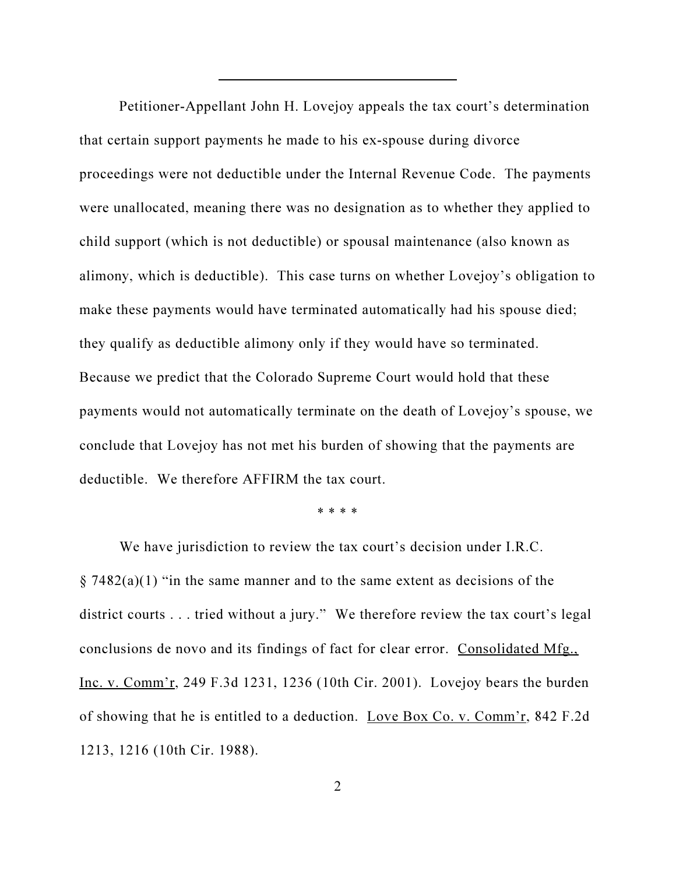Petitioner-Appellant John H. Lovejoy appeals the tax court's determination that certain support payments he made to his ex-spouse during divorce proceedings were not deductible under the Internal Revenue Code. The payments were unallocated, meaning there was no designation as to whether they applied to child support (which is not deductible) or spousal maintenance (also known as alimony, which is deductible). This case turns on whether Lovejoy's obligation to make these payments would have terminated automatically had his spouse died; they qualify as deductible alimony only if they would have so terminated. Because we predict that the Colorado Supreme Court would hold that these payments would not automatically terminate on the death of Lovejoy's spouse, we conclude that Lovejoy has not met his burden of showing that the payments are deductible. We therefore AFFIRM the tax court.

\* \* \* \*

We have jurisdiction to review the tax court's decision under I.R.C.  $\S$  7482(a)(1) "in the same manner and to the same extent as decisions of the district courts . . . tried without a jury." We therefore review the tax court's legal conclusions de novo and its findings of fact for clear error. Consolidated Mfg., Inc. v. Comm'r, 249 F.3d 1231, 1236 (10th Cir. 2001). Lovejoy bears the burden of showing that he is entitled to a deduction. Love Box Co. v. Comm'r, 842 F.2d 1213, 1216 (10th Cir. 1988).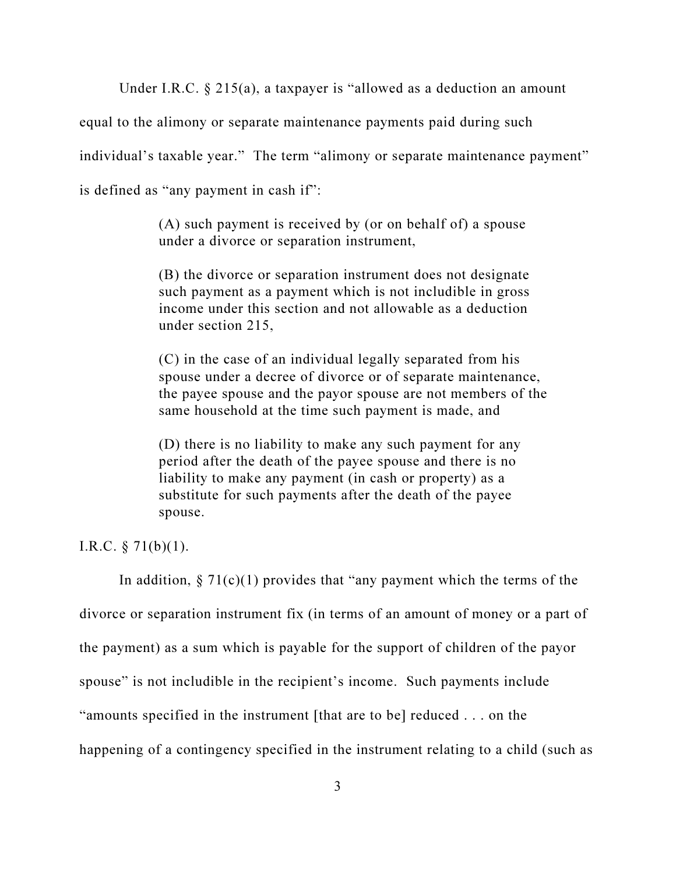Under I.R.C. § 215(a), a taxpayer is "allowed as a deduction an amount

equal to the alimony or separate maintenance payments paid during such

individual's taxable year." The term "alimony or separate maintenance payment"

is defined as "any payment in cash if":

(A) such payment is received by (or on behalf of) a spouse under a divorce or separation instrument,

(B) the divorce or separation instrument does not designate such payment as a payment which is not includible in gross income under this section and not allowable as a deduction under section 215,

(C) in the case of an individual legally separated from his spouse under a decree of divorce or of separate maintenance, the payee spouse and the payor spouse are not members of the same household at the time such payment is made, and

(D) there is no liability to make any such payment for any period after the death of the payee spouse and there is no liability to make any payment (in cash or property) as a substitute for such payments after the death of the payee spouse.

I.R.C. § 71(b)(1).

In addition,  $\S 71(c)(1)$  provides that "any payment which the terms of the divorce or separation instrument fix (in terms of an amount of money or a part of the payment) as a sum which is payable for the support of children of the payor spouse" is not includible in the recipient's income. Such payments include "amounts specified in the instrument [that are to be] reduced . . . on the happening of a contingency specified in the instrument relating to a child (such as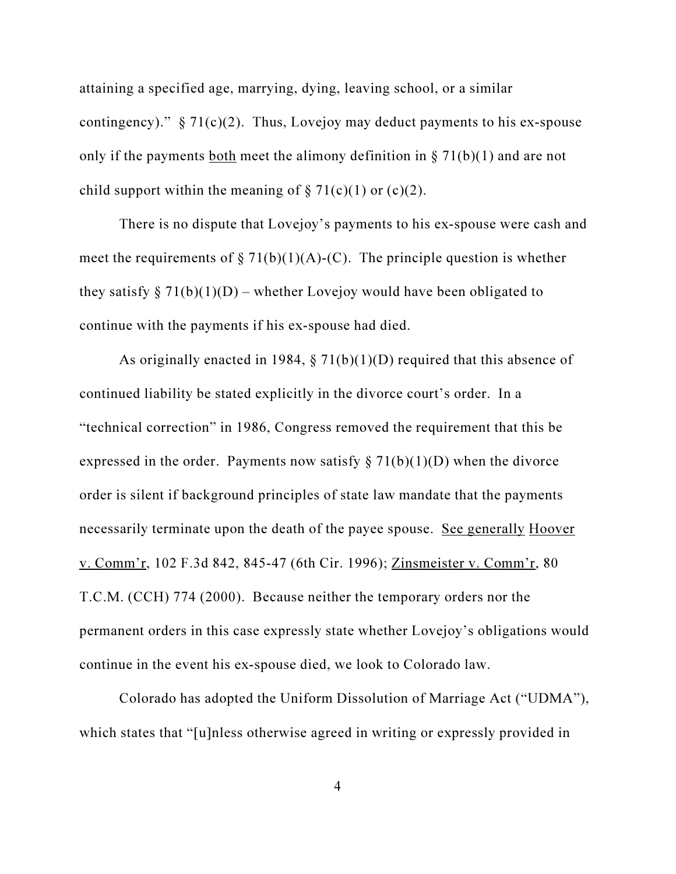attaining a specified age, marrying, dying, leaving school, or a similar contingency)."  $\S 71(c)(2)$ . Thus, Lovejoy may deduct payments to his ex-spouse only if the payments <u>both</u> meet the alimony definition in  $\S 71(b)(1)$  and are not child support within the meaning of  $\S 71(c)(1)$  or (c)(2).

There is no dispute that Lovejoy's payments to his ex-spouse were cash and meet the requirements of  $\S 71(b)(1)(A)-(C)$ . The principle question is whether they satisfy  $\S 71(b)(1)(D)$  – whether Lovejoy would have been obligated to continue with the payments if his ex-spouse had died.

As originally enacted in 1984,  $\S$  71(b)(1)(D) required that this absence of continued liability be stated explicitly in the divorce court's order. In a "technical correction" in 1986, Congress removed the requirement that this be expressed in the order. Payments now satisfy  $\S 71(b)(1)(D)$  when the divorce order is silent if background principles of state law mandate that the payments necessarily terminate upon the death of the payee spouse. See generally Hoover v. Comm'r, 102 F.3d 842, 845-47 (6th Cir. 1996); Zinsmeister v. Comm'r, 80 T.C.M. (CCH) 774 (2000). Because neither the temporary orders nor the permanent orders in this case expressly state whether Lovejoy's obligations would continue in the event his ex-spouse died, we look to Colorado law.

Colorado has adopted the Uniform Dissolution of Marriage Act ("UDMA"), which states that "[u]nless otherwise agreed in writing or expressly provided in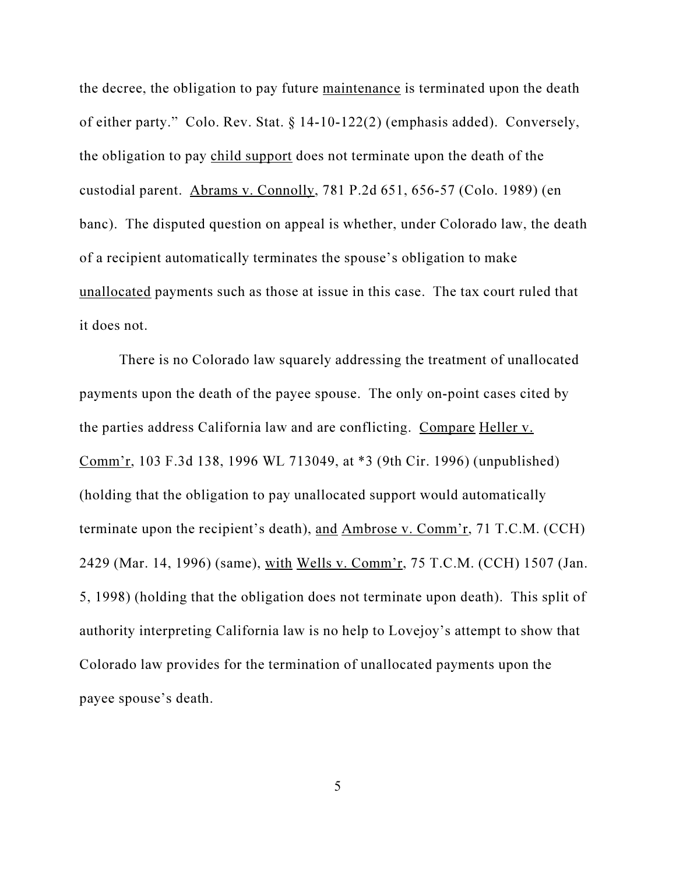the decree, the obligation to pay future maintenance is terminated upon the death of either party." Colo. Rev. Stat. § 14-10-122(2) (emphasis added). Conversely, the obligation to pay child support does not terminate upon the death of the custodial parent. Abrams v. Connolly, 781 P.2d 651, 656-57 (Colo. 1989) (en banc). The disputed question on appeal is whether, under Colorado law, the death of a recipient automatically terminates the spouse's obligation to make unallocated payments such as those at issue in this case. The tax court ruled that it does not.

There is no Colorado law squarely addressing the treatment of unallocated payments upon the death of the payee spouse. The only on-point cases cited by the parties address California law and are conflicting. Compare Heller v. Comm'r, 103 F.3d 138, 1996 WL 713049, at \*3 (9th Cir. 1996) (unpublished) (holding that the obligation to pay unallocated support would automatically terminate upon the recipient's death), and Ambrose v. Comm'r, 71 T.C.M. (CCH) 2429 (Mar. 14, 1996) (same), with Wells v. Comm'r, 75 T.C.M. (CCH) 1507 (Jan. 5, 1998) (holding that the obligation does not terminate upon death). This split of authority interpreting California law is no help to Lovejoy's attempt to show that Colorado law provides for the termination of unallocated payments upon the payee spouse's death.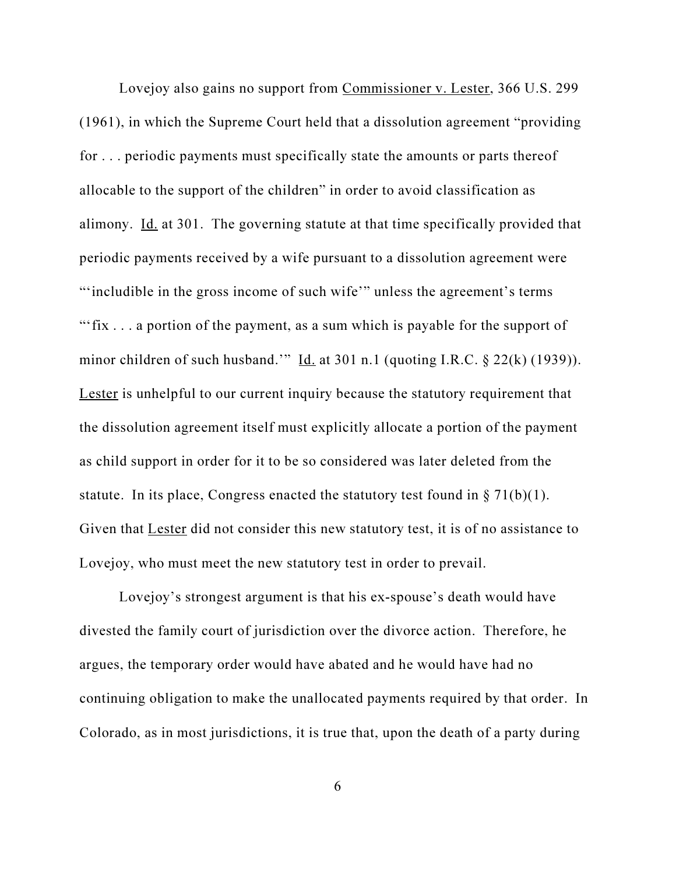Lovejoy also gains no support from Commissioner v. Lester, 366 U.S. 299 (1961), in which the Supreme Court held that a dissolution agreement "providing for . . . periodic payments must specifically state the amounts or parts thereof allocable to the support of the children" in order to avoid classification as alimony. Id. at 301. The governing statute at that time specifically provided that periodic payments received by a wife pursuant to a dissolution agreement were "'includible in the gross income of such wife'" unless the agreement's terms "'fix . . . a portion of the payment, as a sum which is payable for the support of minor children of such husband.'" Id. at 301 n.1 (quoting I.R.C.  $\S$  22(k) (1939)). Lester is unhelpful to our current inquiry because the statutory requirement that the dissolution agreement itself must explicitly allocate a portion of the payment as child support in order for it to be so considered was later deleted from the statute. In its place, Congress enacted the statutory test found in  $\S 71(b)(1)$ . Given that Lester did not consider this new statutory test, it is of no assistance to Lovejoy, who must meet the new statutory test in order to prevail.

Lovejoy's strongest argument is that his ex-spouse's death would have divested the family court of jurisdiction over the divorce action. Therefore, he argues, the temporary order would have abated and he would have had no continuing obligation to make the unallocated payments required by that order. In Colorado, as in most jurisdictions, it is true that, upon the death of a party during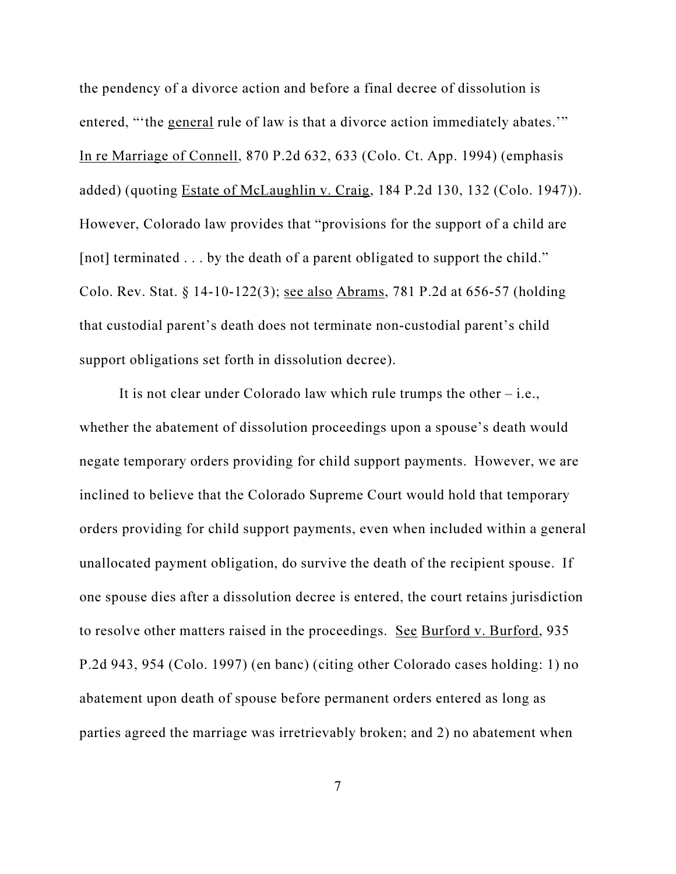the pendency of a divorce action and before a final decree of dissolution is entered, "'the general rule of law is that a divorce action immediately abates.'" In re Marriage of Connell, 870 P.2d 632, 633 (Colo. Ct. App. 1994) (emphasis added) (quoting Estate of McLaughlin v. Craig, 184 P.2d 130, 132 (Colo. 1947)). However, Colorado law provides that "provisions for the support of a child are [not] terminated . . . by the death of a parent obligated to support the child." Colo. Rev. Stat. § 14-10-122(3); see also Abrams, 781 P.2d at 656-57 (holding that custodial parent's death does not terminate non-custodial parent's child support obligations set forth in dissolution decree).

It is not clear under Colorado law which rule trumps the other – i.e., whether the abatement of dissolution proceedings upon a spouse's death would negate temporary orders providing for child support payments. However, we are inclined to believe that the Colorado Supreme Court would hold that temporary orders providing for child support payments, even when included within a general unallocated payment obligation, do survive the death of the recipient spouse. If one spouse dies after a dissolution decree is entered, the court retains jurisdiction to resolve other matters raised in the proceedings. See Burford v. Burford, 935 P.2d 943, 954 (Colo. 1997) (en banc) (citing other Colorado cases holding: 1) no abatement upon death of spouse before permanent orders entered as long as parties agreed the marriage was irretrievably broken; and 2) no abatement when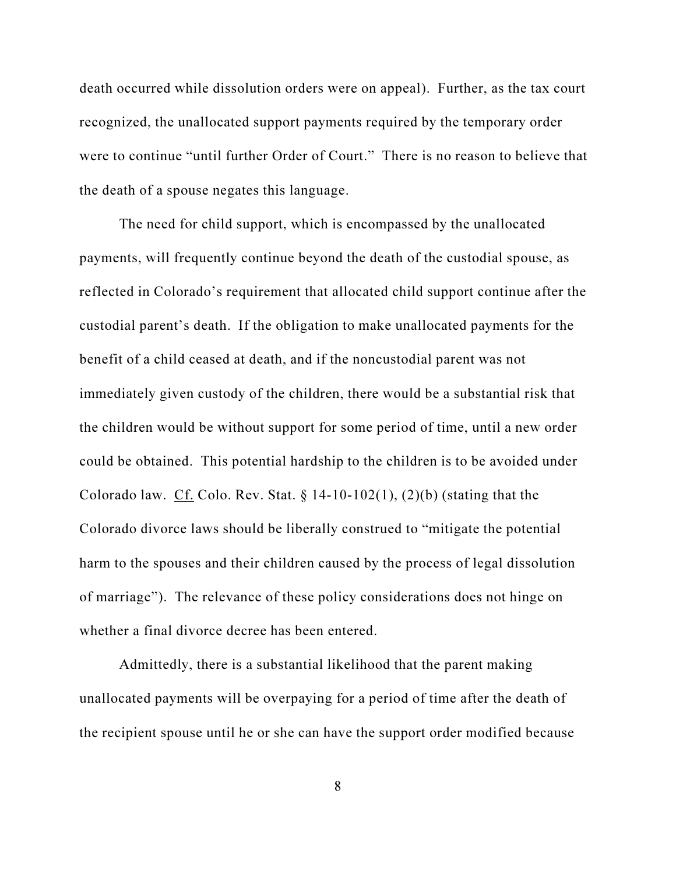death occurred while dissolution orders were on appeal). Further, as the tax court recognized, the unallocated support payments required by the temporary order were to continue "until further Order of Court." There is no reason to believe that the death of a spouse negates this language.

The need for child support, which is encompassed by the unallocated payments, will frequently continue beyond the death of the custodial spouse, as reflected in Colorado's requirement that allocated child support continue after the custodial parent's death. If the obligation to make unallocated payments for the benefit of a child ceased at death, and if the noncustodial parent was not immediately given custody of the children, there would be a substantial risk that the children would be without support for some period of time, until a new order could be obtained. This potential hardship to the children is to be avoided under Colorado law. Cf. Colo. Rev. Stat.  $\S 14-10-102(1)$ , (2)(b) (stating that the Colorado divorce laws should be liberally construed to "mitigate the potential harm to the spouses and their children caused by the process of legal dissolution of marriage"). The relevance of these policy considerations does not hinge on whether a final divorce decree has been entered.

Admittedly, there is a substantial likelihood that the parent making unallocated payments will be overpaying for a period of time after the death of the recipient spouse until he or she can have the support order modified because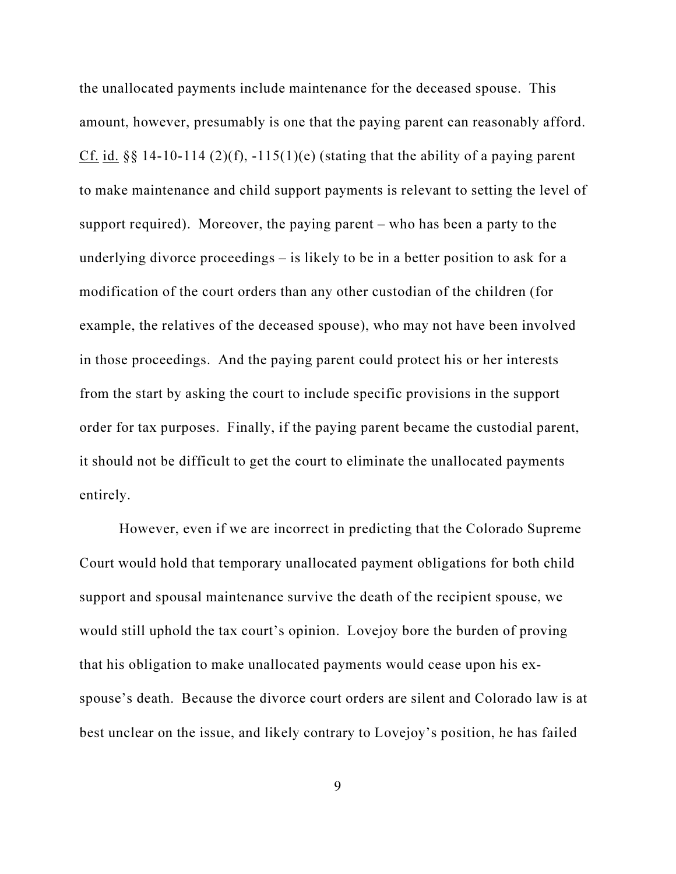the unallocated payments include maintenance for the deceased spouse. This amount, however, presumably is one that the paying parent can reasonably afford. Cf. id.  $\S$ § 14-10-114 (2)(f), -115(1)(e) (stating that the ability of a paying parent to make maintenance and child support payments is relevant to setting the level of support required). Moreover, the paying parent – who has been a party to the underlying divorce proceedings – is likely to be in a better position to ask for a modification of the court orders than any other custodian of the children (for example, the relatives of the deceased spouse), who may not have been involved in those proceedings. And the paying parent could protect his or her interests from the start by asking the court to include specific provisions in the support order for tax purposes. Finally, if the paying parent became the custodial parent, it should not be difficult to get the court to eliminate the unallocated payments entirely.

However, even if we are incorrect in predicting that the Colorado Supreme Court would hold that temporary unallocated payment obligations for both child support and spousal maintenance survive the death of the recipient spouse, we would still uphold the tax court's opinion. Lovejoy bore the burden of proving that his obligation to make unallocated payments would cease upon his exspouse's death. Because the divorce court orders are silent and Colorado law is at best unclear on the issue, and likely contrary to Lovejoy's position, he has failed